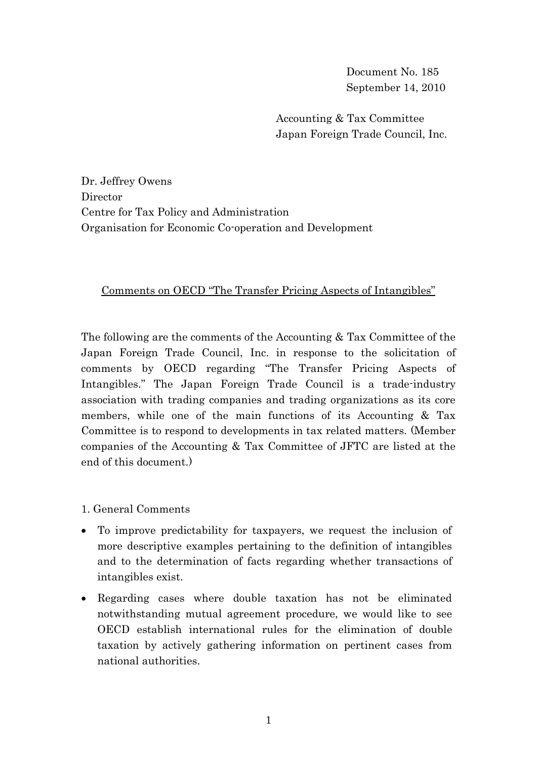Document No. 185 September 14, 2010

Accounting & Tax Committee Japan Foreign Trade Council, Inc.

Dr. Jeffrey Owens Director Centre for Tax Policy and Administration Organisation for Economic Co-operation and Development

## Comments on OECD "The Transfer Pricing Aspects of Intangibles"

The following are the comments of the Accounting & Tax Committee of the Japan Foreign Trade Council, Inc. in response to the solicitation of comments by OECD regarding "The Transfer Pricing Aspects of Intangibles." The Japan Foreign Trade Council is a trade-industry association with trading companies and trading organizations as its core members, while one of the main functions of its Accounting & Tax Committee is to respond to developments in tax related matters. (Member companies of the Accounting & Tax Committee of JFTC are listed at the end of this document.)

1. General Comments

- To improve predictability for taxpayers, we request the inclusion of more descriptive examples pertaining to the definition of intangibles and to the determination of facts regarding whether transactions of intangibles exist.
- Regarding cases where double taxation has not be eliminated notwithstanding mutual agreement procedure, we would like to see OECD establish international rules for the elimination of double taxation by actively gathering information on pertinent cases from national authorities.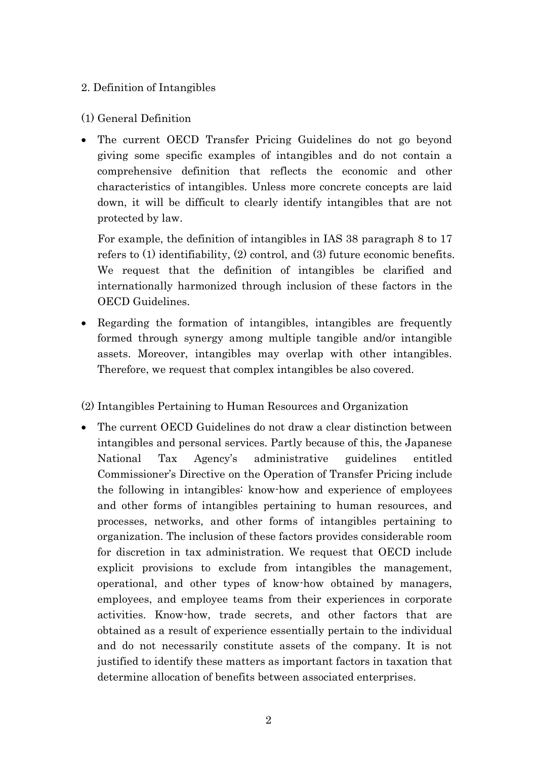# 2. Definition of Intangibles

# (1) General Definition

 The current OECD Transfer Pricing Guidelines do not go beyond giving some specific examples of intangibles and do not contain a comprehensive definition that reflects the economic and other characteristics of intangibles. Unless more concrete concepts are laid down, it will be difficult to clearly identify intangibles that are not protected by law.

For example, the definition of intangibles in IAS 38 paragraph 8 to 17 refers to (1) identifiability, (2) control, and (3) future economic benefits. We request that the definition of intangibles be clarified and internationally harmonized through inclusion of these factors in the OECD Guidelines.

 Regarding the formation of intangibles, intangibles are frequently formed through synergy among multiple tangible and/or intangible assets. Moreover, intangibles may overlap with other intangibles. Therefore, we request that complex intangibles be also covered.

# (2) Intangibles Pertaining to Human Resources and Organization

• The current OECD Guidelines do not draw a clear distinction between intangibles and personal services. Partly because of this, the Japanese National Tax Agency's administrative guidelines entitled Commissioner's Directive on the Operation of Transfer Pricing include the following in intangibles: know-how and experience of employees and other forms of intangibles pertaining to human resources, and processes, networks, and other forms of intangibles pertaining to organization. The inclusion of these factors provides considerable room for discretion in tax administration. We request that OECD include explicit provisions to exclude from intangibles the management, operational, and other types of know-how obtained by managers, employees, and employee teams from their experiences in corporate activities. Know-how, trade secrets, and other factors that are obtained as a result of experience essentially pertain to the individual and do not necessarily constitute assets of the company. It is not justified to identify these matters as important factors in taxation that determine allocation of benefits between associated enterprises.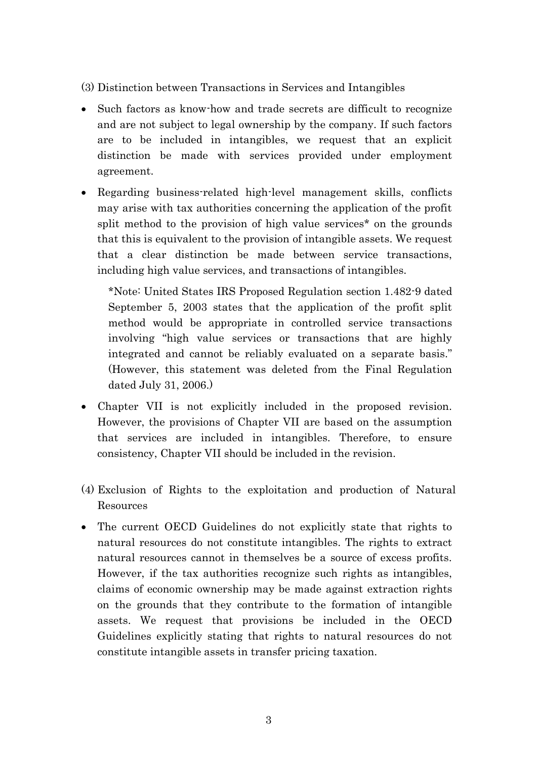(3) Distinction between Transactions in Services and Intangibles

- Such factors as know-how and trade secrets are difficult to recognize and are not subject to legal ownership by the company. If such factors are to be included in intangibles, we request that an explicit distinction be made with services provided under employment agreement.
- Regarding business-related high-level management skills, conflicts may arise with tax authorities concerning the application of the profit split method to the provision of high value services\* on the grounds that this is equivalent to the provision of intangible assets. We request that a clear distinction be made between service transactions, including high value services, and transactions of intangibles.

\*Note: United States IRS Proposed Regulation section 1.482-9 dated September 5, 2003 states that the application of the profit split method would be appropriate in controlled service transactions involving "high value services or transactions that are highly integrated and cannot be reliably evaluated on a separate basis." (However, this statement was deleted from the Final Regulation dated July 31, 2006.)

- Chapter VII is not explicitly included in the proposed revision. However, the provisions of Chapter VII are based on the assumption that services are included in intangibles. Therefore, to ensure consistency, Chapter VII should be included in the revision.
- (4) Exclusion of Rights to the exploitation and production of Natural Resources
- The current OECD Guidelines do not explicitly state that rights to natural resources do not constitute intangibles. The rights to extract natural resources cannot in themselves be a source of excess profits. However, if the tax authorities recognize such rights as intangibles, claims of economic ownership may be made against extraction rights on the grounds that they contribute to the formation of intangible assets. We request that provisions be included in the OECD Guidelines explicitly stating that rights to natural resources do not constitute intangible assets in transfer pricing taxation.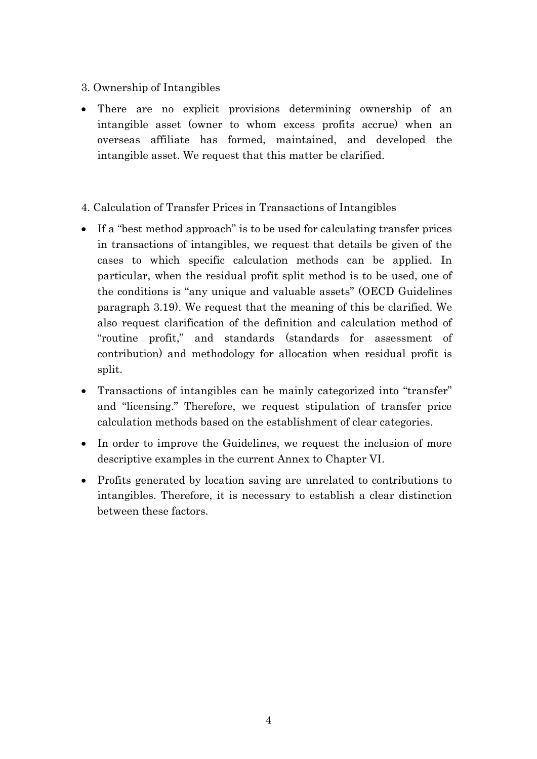### 3. Ownership of Intangibles

- There are no explicit provisions determining ownership of an intangible asset (owner to whom excess profits accrue) when an overseas affiliate has formed, maintained, and developed the intangible asset. We request that this matter be clarified.
- 4. Calculation of Transfer Prices in Transactions of Intangibles
- If a "best method approach" is to be used for calculating transfer prices in transactions of intangibles, we request that details be given of the cases to which specific calculation methods can be applied. In particular, when the residual profit split method is to be used, one of the conditions is "any unique and valuable assets" (OECD Guidelines paragraph 3.19). We request that the meaning of this be clarified. We also request clarification of the definition and calculation method of "routine profit," and standards (standards for assessment of contribution) and methodology for allocation when residual profit is split.
- Transactions of intangibles can be mainly categorized into "transfer" and "licensing." Therefore, we request stipulation of transfer price calculation methods based on the establishment of clear categories.
- In order to improve the Guidelines, we request the inclusion of more descriptive examples in the current Annex to Chapter VI.
- Profits generated by location saving are unrelated to contributions to intangibles. Therefore, it is necessary to establish a clear distinction between these factors.